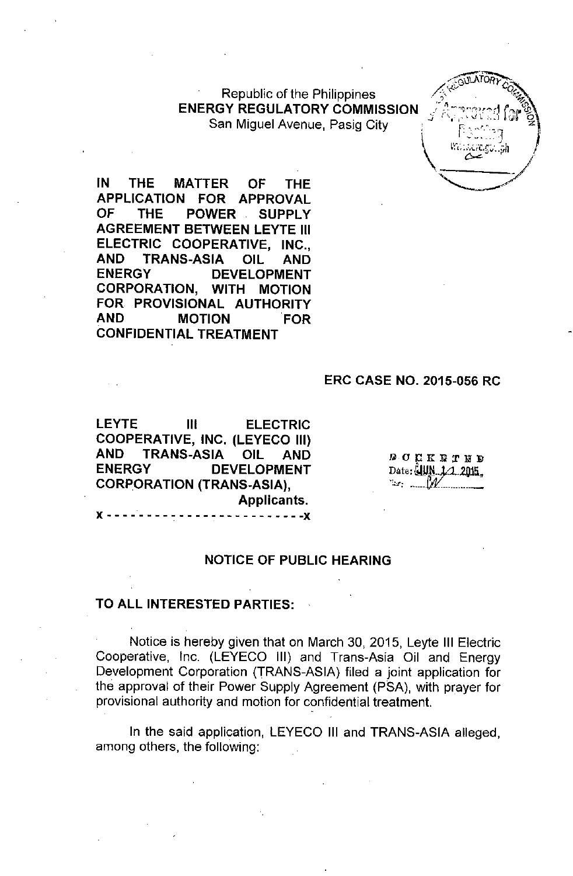Republic of the Philippines **ENERGY REGULATORY COMMISSION** San Miguel Avenue, Pasig City.



**IN THE MATTER OF THE APPLICATION FOR APPROVAL OF THE POWER SUPPLY AGREEMENT BETWEEN LEYTE III ELECTRIC COOPERATIVE, INC., AND TRANS-ASIA OIL AND ENERGY DEVELOPMENT CORPORATION, WITH MOTION FOR PROVISIONAL AUTHORITY AND MOTION FOR CONFIDENTIAL TREATMENT**

#### **ERC CASE NO. 2015-056 RC**

**LEYTE III ELECTRIC COOPERATIVE, INC. (LEYECO III) AND TRANS-ASIA OIL AND ENERGY DEVELOPMENT CORPORATION (TRANS-ASIA), Applicants.** x - - - - - - - - , - - - - - - - - - - - - - - - **-x**

**DOCKRTED** Date:  $\frac{1}{2}$ UN, 1/1, 2015 **'::,,-**..~..\_. **......\_\_ ...\_--**

#### **NOTICE OF PUBLIC HEARING**

#### **TO ALL INTERESTED PARTIES:**

Notice is hereby given that on March 30, 2015, Leyte **III** Electric Cooperative, Inc. (LEYECO III) and Trans-Asia Oil and Energy Development Corporation (TRANS-ASIA) filed a joint appiication for the approval of their Power Supply Agreement (P5A), with prayer for provisional authority and motion for confidential treatment.

In the said application, LEYECO **III** and TRANS-ASIA alleged, among others, the following: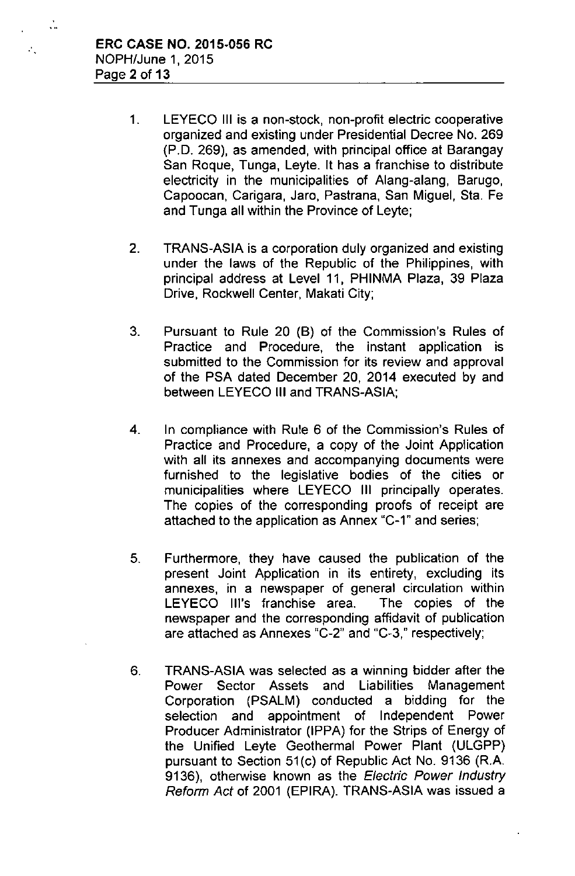÷.

 $\mathcal{L}_{\infty}$ 

- 1. LEYECO III is a non-stock, non-profit electric cooperative organized and existing under Presidential Decree No. 269 (P.D. 269), as amended, with principal office at Barangay San Roque, Tunga, Leyte. It has a franchise to distribute electricity in the municipalities of Alang-alang, Barugo, Capoocan, Carigara, Jaro, Pastrana, San Miguel, Sta. Fe and Tunga all within the Province of Leyte;
- 2. TRANS-ASIA is a corporation duly organized and existing under the laws of the Republic of the Philippines, with principal address at Level **11,** PHINMA Plaza, 39 Plaza Drive, Rockwell Center, Makati City;
- 3. Pursuant to Rule 20 (B) of the Commission's Rules of Practice and Procedure, the instant application is submitted to the Commission for its review and approval of the PSA dated December 20, 2014 executed by and between LEYECO III and TRANS-ASIA;
- 4. In compliance with Rule 6 of the Commission's Rules of Practice and Procedure, a copy of the Joint Application with all its annexes and accompanying documents were furnished to the legislative bodies of the cities or municipalities where LEYECO III principally operates. The copies of the corresponding proofs of receipt are attached to the application as Annex "C-1" and series;
- 5. Furthermore, they have caused the publication of the present Joint Application in its entirety, excluding its annexes, in a newspaper of general circulation within LEYECO Ill's franchise area. The copies of the newspaper and the corresponding affidavit of publication are attached as Annexes "C-2" and "C-3," respectively;
- 6. TRANS-ASIA was selected as a winning bidder after the Power Sector Assets and Liabilities Management Corporation (PSALM) conducted a bidding for the selection and appointment of Independent Power Producer Administrator (IPPA) for the Strips of Energy of the Unified Leyte Geothermal Power Plant (ULGPP) pursuant to Section 51(c) of Republic Act No. 9136 (R.A. 9136), otherwise known as the *Electric Power Industry Reform Act* of 2001 (EPIRA). TRANS-ASIA was issued a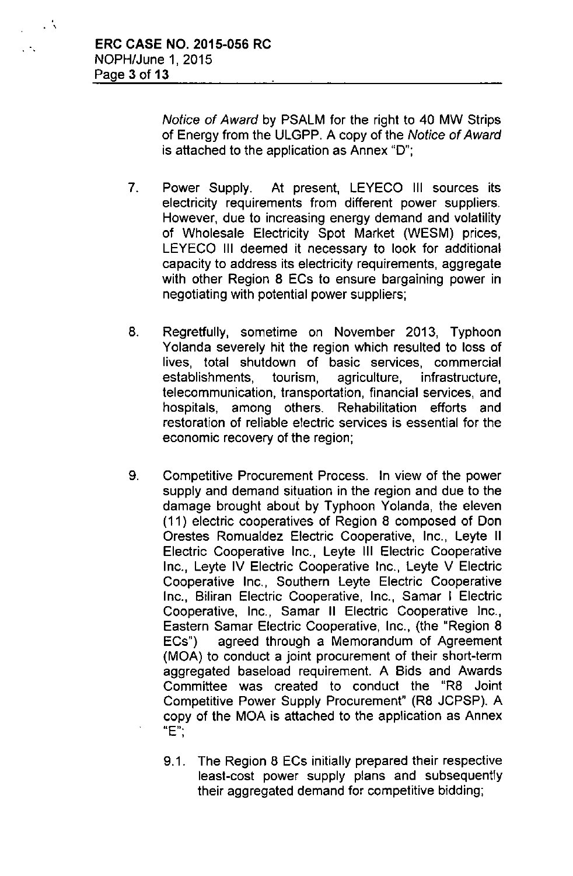, . ,

 $\mathcal{L}$ 

*Notice of Award* by PSALM for the right to 40 MW Strips of Energy from the ULGPP, A copy of the *Notice of Award* is attached to the application as Annex "0";

- 7. Power Supply. At present, LEYECO III sources its electricity requirements from different power suppliers, However, due to increasing energy demand and volatility of Wholesale Electricity Spot Market (WESM) prices, LEYECO III deemed it necessary to look for additional capacity to address its electricity requirements, aggregate with other Region 8 ECs to ensure bargaining power in negotiating with potential power suppliers;
- 8. Regretfully, sometime on November 2013, Typhoon Yolanda severely hit the region which resulted to loss of lives, total shutdown of basic services, commercial establishments, tourism, agriculture, infrastructure, telecommunication, transportation, financial services, and hospitals, among others. Rehabilitation efforts and restoration of reliable electric services is essential for the economic recovery of the region;
- 9. Competitive Procurement Process, In view of the power supply and demand situation in the region and due to the damage brought about by Typhoon Yolanda, the eleven (11) electric cooperatives of Region 8 composed of Don Orestes Romualdez Electric Cooperative, Inc., Leyte II Electric Cooperative Inc., Leyte III Electric Cooperative Inc., Leyte IV Electric Cooperative Inc., Leyte V Electric Cooperative Inc., Southern Leyte Electric Cooperative Inc., Biliran Electric Cooperative, Inc., Samar I Electric Cooperative, Inc., Samar II Electric Cooperative Inc., Eastern Samar Electric Cooperative, Inc., (the "Region 8 ECs") agreed through a Memorandum of Agreement (MOA) to conduct a joint procurement of their short-term aggregated baseload requirement. A Bids and Awards Committee was created to conduct the "R8 Joint Competitive Power Supply Procurement" (R8 JCPSP). A copy of the MOA is attached to the application as Annex **"E'"** ,
	- 9.1. The Region 8 ECs initially prepared their respective least-cost power supply plans and subsequently their aggregated demand for competitive bidding;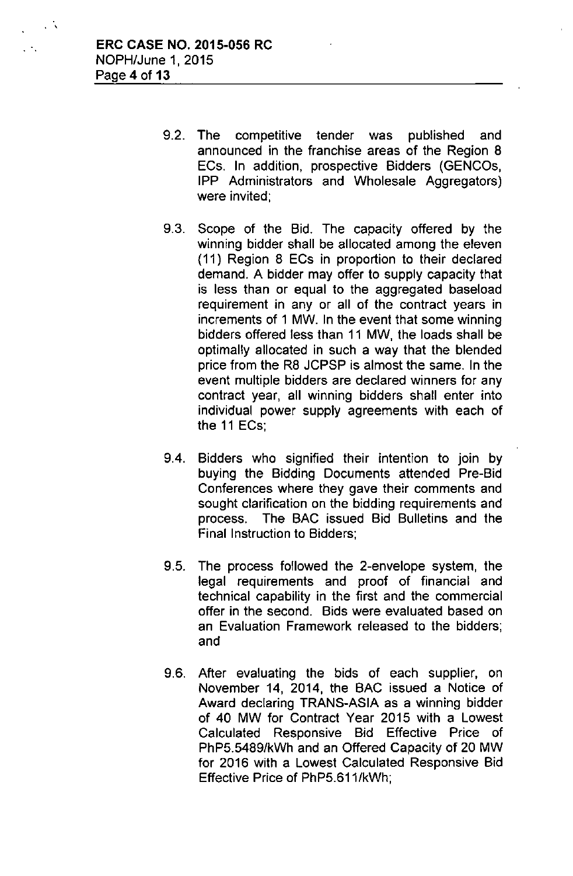. ,

 $\mathbb{R}^2$ 

- 9.2. The competitive tender was published and announced in the franchise areas of the Region 8 ECs. **In** addition, prospective Bidders (GENCOs, IPP Administrators and Wholesale Aggregators) were invited;
- 9.3. Scope of the Bid. The capacity offered by the winning bidder shall be allocated among the eleven (11) Region 8 ECs in proportion to their declared demand. A bidder may offer to supply capacity that is less than or equal to the aggregated baseload requirement in any or all of the contract years in increments of 1 MW. In the event that some winning bidders offered less than 11 MW, the loads shall be optimally allocated in such a way that the blended price from the R8 JCPSP is almost the same. In the event multiple bidders are declared winners for any contract year, all winning bidders shall enter into individual power supply agreements with each of the 11 ECs;
- 9.4. Bidders who signified their intention to join by buying the Bidding Documents attended Pre-Bid Conferences where they gave their comments and sought clarification on the bidding requirements and process. The BAC issued Bid Bulletins and the Final Instruction to Bidders;
- 9.5. The process followed the 2-envelope system, the legal requirements and proof of financial and technical capability in the first and the commercial offer in the second. Bids were evaluated based on an Evaluation Framework released to the bidders; and
- 9.6. After evaluating the bids of each supplier, on November 14, 2014, the BAC issued a Notice of Award declaring TRANS-ASIA as a winning bidder of 40 MW for Contract Year 2015 with a Lowest Calculated Responsive Bid Effective Price of PhP5.5489/kWh and an Offered Capacity of 20 MW for 2016 with a Lowest Calculated Responsive Bid Effective Price of PhP5.611/kWh;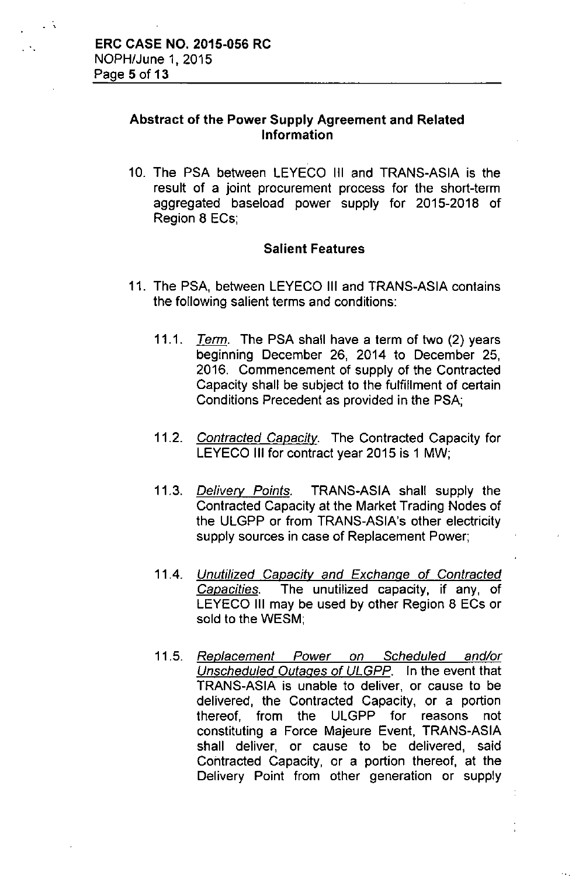. ,

 $\mathcal{L}$ 

## Abstract of the Power Supply Agreement and Related Information

10. The PSA between LEYECO III and TRANS-ASIA is the result of a joint procurement process for the short-term aggregated baseload power supply for 2015-2018 of Region 8 ECs;

### Salient Features

- 11. The PSA, between LEYECO III and TRANS-ASIA contains the following salient terms and conditions:
	- *11.1. Term.* The PSA shall have a term of two (2) years beginning December 26, 2014 to December 25. 2016. Commencement of supply of the Contracted Capacity shall be subject to the fulfillment of certain Conditions Precedent as provided in the PSA;
	- *11.2. Contracted Capacity.* The Contracted Capacity for LEYECO III for contract year 2015 is 1 MW;
	- *11.3. Delivery Points.* TRANS-ASIA shall supply the Contracted Capacity at the Market Trading Nodes of the ULGPP or from TRANS-ASIA's other electricity supply sources in case of Replacement Power;
	- *11.4. Unutilized Capacity and Exchange* of *Contracted Capacities.* The unutilized capacity, if any, of LEYECO III may be used by other Region 8 ECs or sold to the WESM;
	- *11.5. Replacement Power on Scheduled and/or Unscheduled Outages* of *ULGPP.* In the event that TRANS-ASIA is unable to deliver, or cause to be delivered, the Contracted Capacity, or a portion thereof. from the ULGPP for reasons not constituting a Force Majeure Event. TRANS-ASIA shall deliver, or cause to be delivered, said Contracted Capacity, or a portion thereof, at the Delivery Point from other generation or supply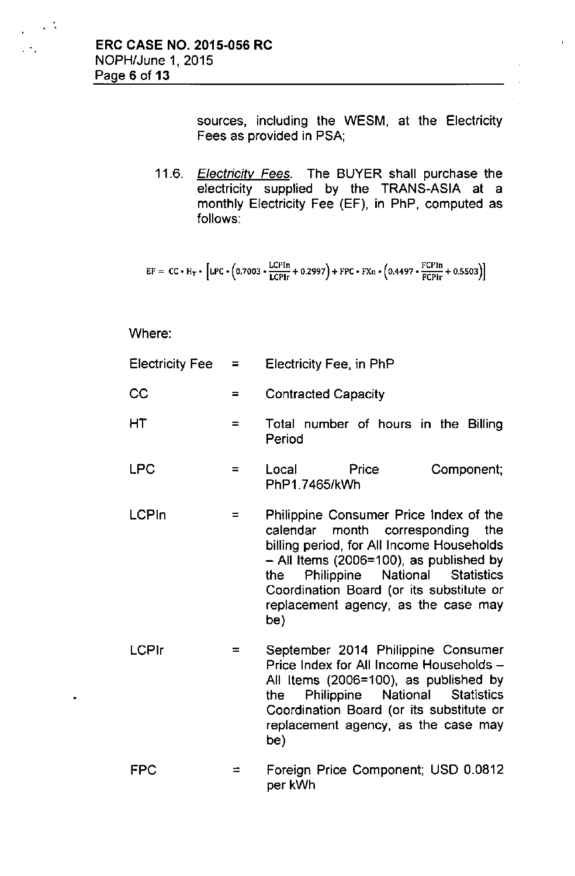$\sim 10$ 

 $\mathcal{L}_{\mathcal{L}}$ 

sources, including the WESM, at the Electricity Fees as provided in PSA;

*11.6. Electricity Fees.* The BUYER shall purchase the electricity supplied by the TRANS-ASIA at a monthly Electricity Fee (EF), in PhP, computed as follows:

$$
EF = CC * H_T * [LPC * (0.7003 * \frac{LCPIn}{LCPIr} + 0.2997) + FPC * FXn * (0.4497 * \frac{FCPIn}{FCPIr} + 0.5503)]
$$

Where:

| Electricity Fee | a se | Electricity Fee, in PhP                                                                                                                                                                                                                                                                                    |  |  |
|-----------------|------|------------------------------------------------------------------------------------------------------------------------------------------------------------------------------------------------------------------------------------------------------------------------------------------------------------|--|--|
| CC              | $=$  | <b>Contracted Capacity</b>                                                                                                                                                                                                                                                                                 |  |  |
| НT              | $=$  | Total number of hours in the Billing<br>Period                                                                                                                                                                                                                                                             |  |  |
| <b>LPC</b>      | $=$  | Local<br>Price<br>Component;<br>PhP1.7465/kWh                                                                                                                                                                                                                                                              |  |  |
| LCPIn           | $=$  | Philippine Consumer Price Index of the<br>calendar month corresponding<br>the<br>billing period, for All Income Households<br>$-$ All Items (2006=100), as published by<br>Philippine National Statistics<br>the<br>Coordination Board (or its substitute or<br>replacement agency, as the case may<br>be) |  |  |
| <b>LCPIr</b>    |      | September 2014 Philippine Consumer<br>Price Index for All Income Households -<br>All Items (2006=100), as published by<br>National Statistics<br>Philippine<br>the                                                                                                                                         |  |  |

FPC  $=$ Foreign Price Component; USD 0.0812 per kWh

be)

Coordination Board (or its substitute or replacement agency, as the case may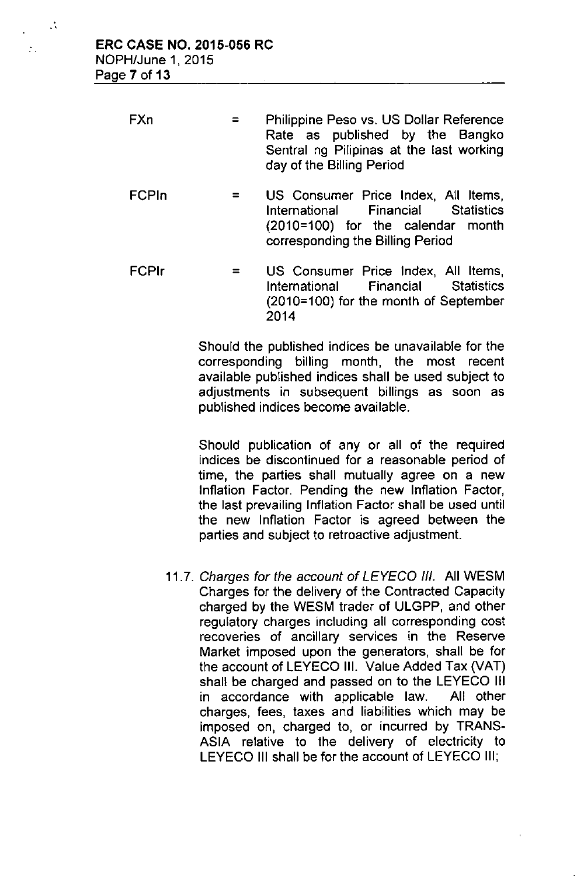..

 $\ddot{\phantom{a}}$  .

| FXn | $=$ $-$ | <b>Philippine Peso vs. US Dollar Reference</b> |  |  |
|-----|---------|------------------------------------------------|--|--|
|     |         | Rate as published by the Bangko                |  |  |
|     |         | Sentral ng Pilipinas at the last working       |  |  |
|     |         | day of the Billing Period                      |  |  |

- FCPln  $=$ US Consumer Price Index, All Items, International Financial Statistics (2010=100) for the calendar month corresponding the Billing Period
- FCPlr = US Consumer Price Index, All Items, International Financial Statistics (2010=100) for the month of September 2014

Should the published indices be unavailable for the corresponding billing month, the most recent available published indices shall be used subject to adjustments in subsequent billings as soon as published indices become available.

Should publication of any or all of the required indices be discontinued for a reasonable period of time, the parties shall mutually agree on a new Inflation Factor. Pending the new Inflation Factor, the last prevailing Inflation Factor shall be used until the new Inflation Factor is agreed between the parties and subject to retroactive adjustment.

*11.7. Charges for the account of LEYECD 1/1.* All WESM Charges for the delivery of the Contracted Capacity charged by the WESM trader of ULGPP, and other regulatory charges including all corresponding cost recoveries of ancillary services in the Reserve Market imposed upon the generators, shall be for the account of LEVECD **III.** Value Added Tax (VAT) shall be charged and passed on to the LEVECD **III** in accordance with applicable law. All other charges, fees, taxes and liabilities which may be imposed on, charged to, or incurred by TRANS-ASIA relative to the delivery of electricity to LEYECO III shall be for the account of LEYECO III;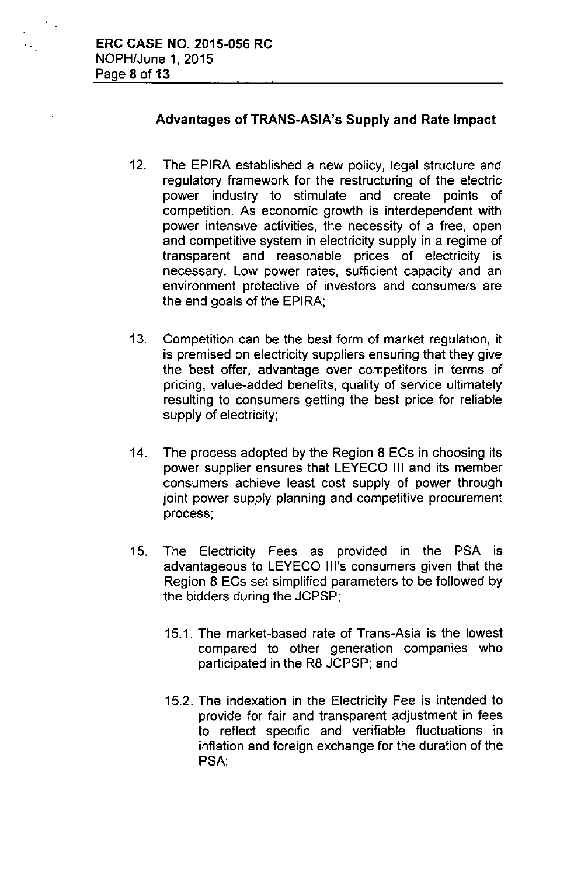$\sim$  1

 $\ddot{\phantom{0}}$ 

# Advantages of TRANS-ASIA's Supply and Rate Impact

- 12. The EPIRA established a new policy, legal structure and regulatory framework for the restructuring of the electric power industry to stimulate and create points of competition. As economic growth is interdependent with power intensive activities, the necessity of a free, open and competitive system in electricity supply in a regime of transparent and reasonable prices of electricity is necessary. Low power rates, sufficient capacity and an environment protective of investors and consumers are the end goals of the EPIRA;
- 13. Competition can be the best form of market regulation, it is premised on electricity suppliers ensuring that they give the best offer, advantage over competitors in terms of pricing, value-added benefits, quality of service ultimately resulting to consumers getting the best price for reliable supply of electricity;
- 14. The process adopted by the Region 8 ECs in choosing its power supplier ensures that LEYECO III and its member consumers achieve least cost supply of power through joint power supply planning and competitive procurement process;
- 15. The Electricity Fees as provided in the PSA is advantageous to LEYECO Ill's consumers given that the Region 8 ECs set simplified parameters to be followed by the bidders during the JCPSP;
	- 15.1. The market-based rate of Trans-Asia is the lowest compared to other generation companies who participated in the R8 JCPSP; and
	- 15.2. The indexation in the Electricity Fee is intended to provide for fair and transparent adjustment in fees to reflect specific and verifiable fluctuations in inflation and foreign exchange for the duration of the PSA,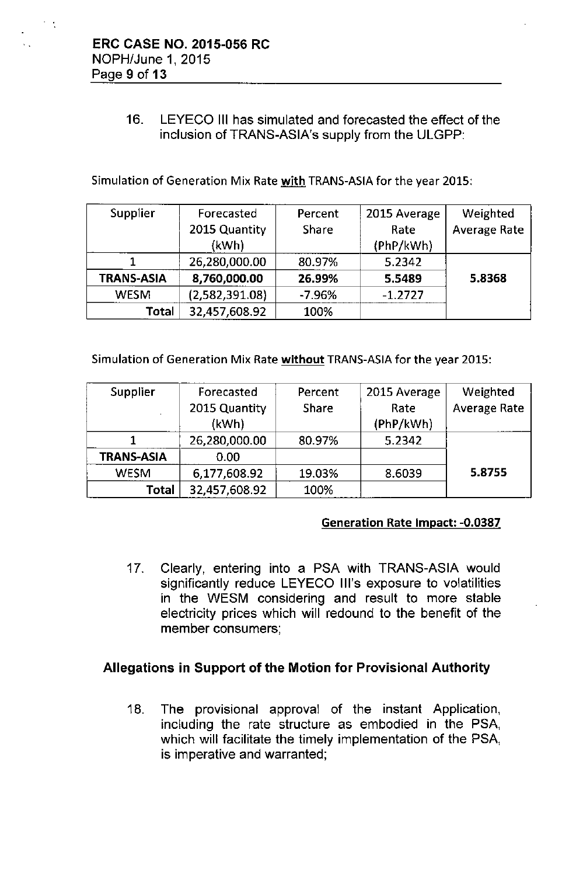$\sim$   $\sim$ 

 $\ddot{\phantom{0}}$ 

# 16. LEYECO III has simulated and forecasted the effect of the inclusion of TRANS-ASIA's supply from the ULGPP:

Simulation of Generation Mix Rate with TRANS-ASIA for the year 2015:

| Supplier          | Forecasted     | Percent      | 2015 Average | Weighted            |
|-------------------|----------------|--------------|--------------|---------------------|
|                   | 2015 Quantity  | <b>Share</b> | Rate         | <b>Average Rate</b> |
|                   | (kWh)          |              | (PhP/kWh)    |                     |
|                   | 26,280,000.00  | 80.97%       | 5.2342       |                     |
| <b>TRANS-ASIA</b> | 8,760,000.00   | 26.99%       | 5.5489       | 5.8368              |
| <b>WESM</b>       | (2,582,391.08) | $-7.96%$     | $-1.2727$    |                     |
| Total             | 32,457,608.92  | 100%         |              |                     |

Simulation of Generation Mix Rate without TRANS-ASIA for the year 2015:

| Supplier          | Forecasted    | Percent      | 2015 Average | Weighted            |
|-------------------|---------------|--------------|--------------|---------------------|
|                   | 2015 Quantity | <b>Share</b> | Rate         | <b>Average Rate</b> |
|                   | (kWh)         |              | (PhP/kWh)    |                     |
|                   | 26,280,000.00 | 80.97%       | 5.2342       |                     |
| <b>TRANS-ASIA</b> | 0.00          |              |              |                     |
| <b>WESM</b>       | 6,177,608.92  | 19.03%       | 8.6039       | 5.8755              |
| Total             | 32,457,608.92 | 100%         |              |                     |

#### Generation Rate Impact: -0.0387

17. Clearly, entering into a PSA with TRANS-ASIA would significantly reduce LEYECO Ill's exposure to volatilities in the WESM considering and result to more stable electricity prices which will redound to the benefit of the member consumers;

# Allegations in Support of the Motion for Provisional Authority

18. The provisional approval of the instant Application, including the rate structure as embodied in the PSA, which will facilitate the timely implementation of the PSA, is imperative and warranted;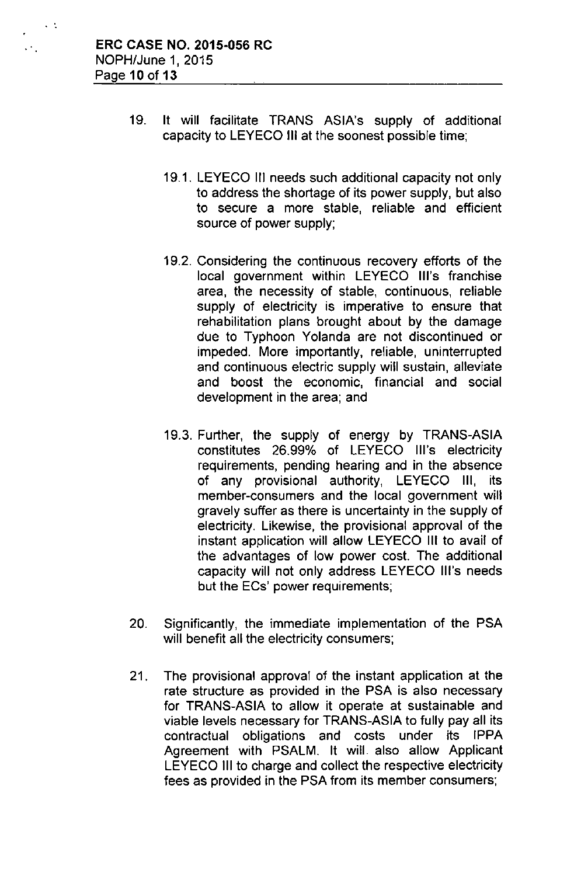$\sim$   $\sim$ 

 $\ddotsc$ 

- 19. It will facilitate TRANS ASIA's supply of additional capacity to LEYECO III at the soonest possible time;
	- 19.1. LEYECO III needs such additional capacity not only to address the shortage of its power supply, but also to secure a more stable, reliable and efficient source of power supply;
	- 19.2. Considering the continuous recovery efforts of the local government within LEYECO Ill's franchise area, the necessity of stable, continuous, reliable supply of electricity is imperative to ensure that rehabilitation plans brought about by the damage due to Typhoon Yolanda are not discontinued or impeded. More importantly, reliable, uninterrupted and continuous electric supply will sustain, alleviate and boost the economic, financial and social development in the area; and
	- 19.3. Further, the supply of energy by TRANS-ASIA constitutes 26.99% of LEYECO Ill's electricity requirements, pending hearing and in the absence of any provisional authority, LEYECO III, its member-consumers and the local government will gravely suffer as there is uncertainty in the supply of electricity. Likewise, the provisional approval of the instant application will allow LEYECO III to avail of the advantages of low power cost. The additional capacity will not only address LEYECO Ill's needs but the ECs' power requirements;
- 20. Significantly, the immediate implementation of the PSA will benefit all the electricity consumers;
- 21. The provisional approval of the instant application at the rate structure as provided in the PSA is also necessary for TRANS-ASIA to allow it operate at sustainable and viable levels necessary for TRANS-ASIA to fully pay all its contractual obligations and costs under its IPPA Agreement with PSALM. It will also allow Applicant LEYECO III to charge and collect the respective electricity fees as provided in the PSA from its member consumers;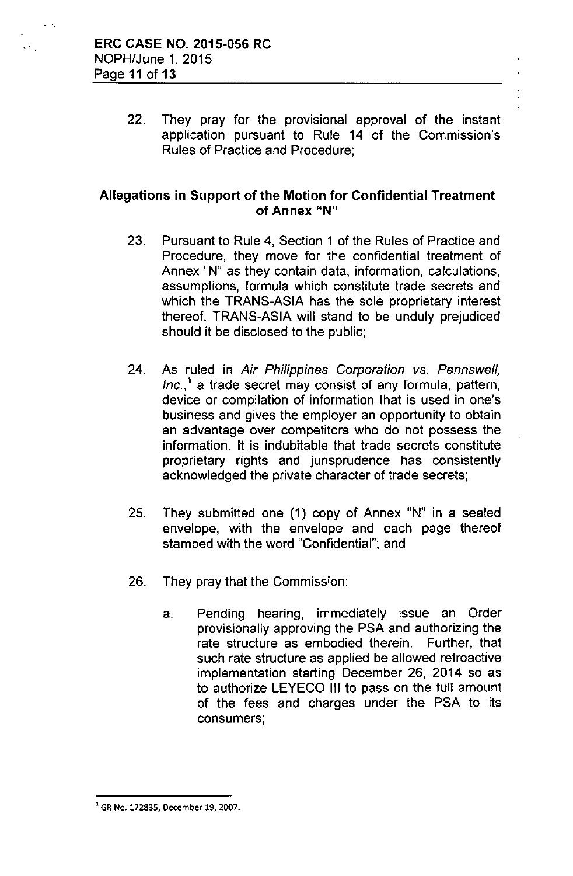. ..

22. They pray for the provisional approval of the instant application pursuant to Rule 14 of the Commission's Rules of Practice and Procedure;

## Allegations in Support of the Motion for Confidential Treatment **of Annex "N"**

- 23. Pursuant to Rule 4, Section 1 of the Rules of Practice and Procedure, they move for the confidential treatment of Annex "N" as they contain data, information, calculations, assumptions, formula which constitute trade secrets and which the TRANS-ASIA has the sole proprietary interest thereof. TRANS-ASIA will stand to be unduly prejudiced should it be disclosed to the public;
- 24. As ruled in *Air Philippines Corporation vs. Pennswell, Inc.,'* a trade secret may consist of any formula, pattern, device or compilation of information that is used in one's business and gives the employer an opportunity to obtain an advantage over competitors who do not possess the information. It is indubitable that trade secrets constitute proprietary rights and jurisprudence has consistently acknowledged the private character of trade secrets;
- 25. They submitted one (1) copy of Annex "N" in a sealed envelope, with the envelope and each page thereof stamped with the word "Confidential"; and
- 26. They pray that the Commission:
	- a. Pending hearing, immediately issue an Order provisionally approving the PSA and authorizing the rate structure as embodied therein. Further, that such rate structure as applied be allowed retroactive implementation starting December 26, 2014 so as to authorize LEYECO III to pass on the full amount of the fees and charges under the PSA to its consumers;

<sup>1</sup>GR No. 172835, December 19, 2007.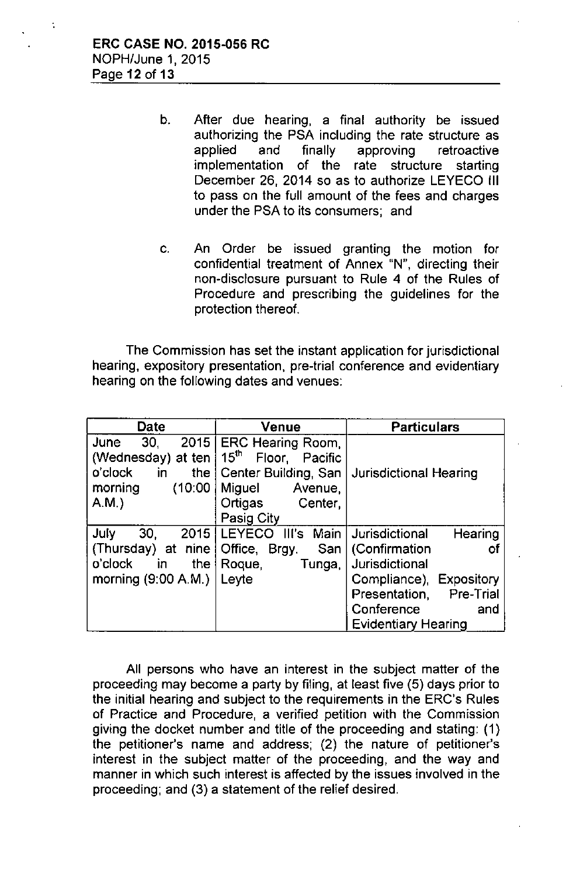- b. After due hearing, a final authority be issued authorizing the PSA including the rate structure as applied and finally approving retroactive implementation of the rate structure starting December 26, 2014 so as to authorize LEYECO III to pass on the full amount of the fees and charges under the PSA to its consumers; and
- c. An Order be issued granting the motion for confidential treatment of Annex "N", directing their non-disclosure pursuant to Rule 4 of the Rules of Procedure and prescribing the guidelines for the protection thereof.

The Commission has set the instant application for jurisdictional hearing, expository presentation, pre-trial conference and evidentiary hearing on the following dates and venues:

| <b>Date</b>                                                                                             | Venue                                                                                                                                    | <b>Particulars</b>                                                                                                                                                      |
|---------------------------------------------------------------------------------------------------------|------------------------------------------------------------------------------------------------------------------------------------------|-------------------------------------------------------------------------------------------------------------------------------------------------------------------------|
| 30.<br>2015<br>June<br>(Wednesday) at ten  <br>o'clock<br>the I<br>in<br>morning<br>(10:00)<br>A.M.     | ERC Hearing Room,<br>$15^{\text{th}}$<br>Floor, Pacific<br>Center Building, San<br>Miguel<br>Avenue,<br>Ortigas<br>Center,<br>Pasig City | Jurisdictional Hearing                                                                                                                                                  |
| July<br>30.<br>2015<br>(Thursday) at nine<br>o'clock<br>the $\mathsf{I}$<br>in<br>morning $(9:00 A.M.)$ | LEYECO III's<br>Main I<br>Office, Brgy.<br>San  <br>Roque,<br>Tunga,<br>Leyte                                                            | Hearing<br>Jurisdictional<br>(Confirmation<br>ΟŤ<br>Jurisdictional<br>Compliance), Expository<br>Pre-Trial<br>Presentation,<br>Conference<br>and<br>Evidentiary Hearing |

All persons who have an interest in the subject matter of the proceeding may become a party by filing, at least five (5) days prior to the initial hearing and subject to the requirements in the ERC's Rules of Practice and Procedure, a verified petition with the Commission giving the docket number and title of the proceeding and stating: (1) the petitioner's name and address; (2) the nature of petitioner's interest in the subject matter of the proceeding, and the way and manner in which such interest is affected by the issues involved in the proceeding; and (3) a statement of the relief desired.